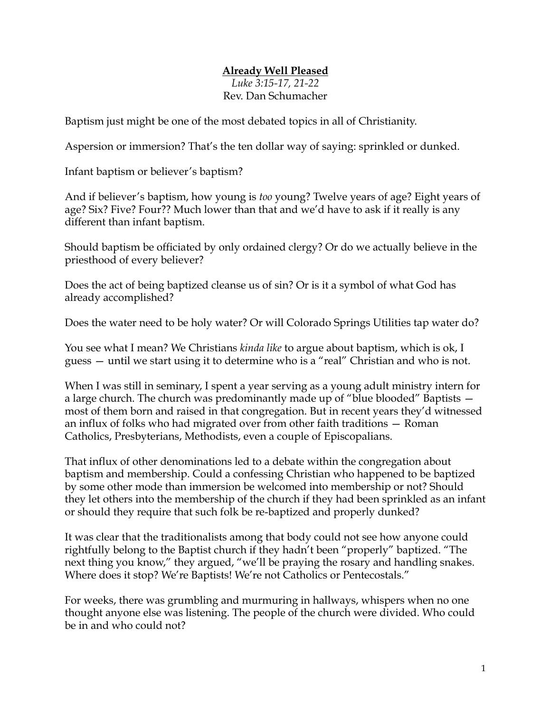## **Already Well Pleased**

*Luke 3:15-17, 21-22* Rev. Dan Schumacher

Baptism just might be one of the most debated topics in all of Christianity.

Aspersion or immersion? That's the ten dollar way of saying: sprinkled or dunked.

Infant baptism or believer's baptism?

And if believer's baptism, how young is *too* young? Twelve years of age? Eight years of age? Six? Five? Four?? Much lower than that and we'd have to ask if it really is any different than infant baptism.

Should baptism be officiated by only ordained clergy? Or do we actually believe in the priesthood of every believer?

Does the act of being baptized cleanse us of sin? Or is it a symbol of what God has already accomplished?

Does the water need to be holy water? Or will Colorado Springs Utilities tap water do?

You see what I mean? We Christians *kinda like* to argue about baptism, which is ok, I guess — until we start using it to determine who is a "real" Christian and who is not.

When I was still in seminary, I spent a year serving as a young adult ministry intern for a large church. The church was predominantly made up of "blue blooded" Baptists most of them born and raised in that congregation. But in recent years they'd witnessed an influx of folks who had migrated over from other faith traditions — Roman Catholics, Presbyterians, Methodists, even a couple of Episcopalians.

That influx of other denominations led to a debate within the congregation about baptism and membership. Could a confessing Christian who happened to be baptized by some other mode than immersion be welcomed into membership or not? Should they let others into the membership of the church if they had been sprinkled as an infant or should they require that such folk be re-baptized and properly dunked?

It was clear that the traditionalists among that body could not see how anyone could rightfully belong to the Baptist church if they hadn't been "properly" baptized. "The next thing you know," they argued, "we'll be praying the rosary and handling snakes. Where does it stop? We're Baptists! We're not Catholics or Pentecostals."

For weeks, there was grumbling and murmuring in hallways, whispers when no one thought anyone else was listening. The people of the church were divided. Who could be in and who could not?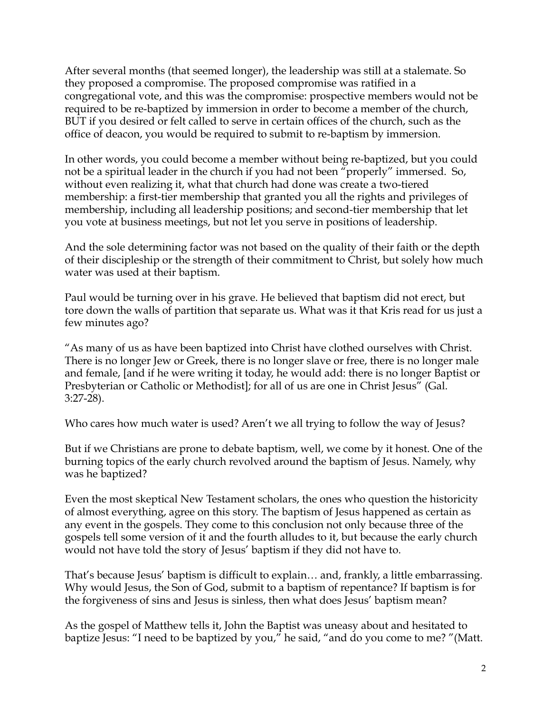After several months (that seemed longer), the leadership was still at a stalemate. So they proposed a compromise. The proposed compromise was ratified in a congregational vote, and this was the compromise: prospective members would not be required to be re-baptized by immersion in order to become a member of the church, BUT if you desired or felt called to serve in certain offices of the church, such as the office of deacon, you would be required to submit to re-baptism by immersion.

In other words, you could become a member without being re-baptized, but you could not be a spiritual leader in the church if you had not been "properly" immersed. So, without even realizing it, what that church had done was create a two-tiered membership: a first-tier membership that granted you all the rights and privileges of membership, including all leadership positions; and second-tier membership that let you vote at business meetings, but not let you serve in positions of leadership.

And the sole determining factor was not based on the quality of their faith or the depth of their discipleship or the strength of their commitment to Christ, but solely how much water was used at their baptism.

Paul would be turning over in his grave. He believed that baptism did not erect, but tore down the walls of partition that separate us. What was it that Kris read for us just a few minutes ago?

"As many of us as have been baptized into Christ have clothed ourselves with Christ. There is no longer Jew or Greek, there is no longer slave or free, there is no longer male and female, [and if he were writing it today, he would add: there is no longer Baptist or Presbyterian or Catholic or Methodist]; for all of us are one in Christ Jesus" (Gal. 3:27-28).

Who cares how much water is used? Aren't we all trying to follow the way of Jesus?

But if we Christians are prone to debate baptism, well, we come by it honest. One of the burning topics of the early church revolved around the baptism of Jesus. Namely, why was he baptized?

Even the most skeptical New Testament scholars, the ones who question the historicity of almost everything, agree on this story. The baptism of Jesus happened as certain as any event in the gospels. They come to this conclusion not only because three of the gospels tell some version of it and the fourth alludes to it, but because the early church would not have told the story of Jesus' baptism if they did not have to.

That's because Jesus' baptism is difficult to explain… and, frankly, a little embarrassing. Why would Jesus, the Son of God, submit to a baptism of repentance? If baptism is for the forgiveness of sins and Jesus is sinless, then what does Jesus' baptism mean?

As the gospel of Matthew tells it, John the Baptist was uneasy about and hesitated to baptize Jesus: "I need to be baptized by you," he said, "and do you come to me? "(Matt.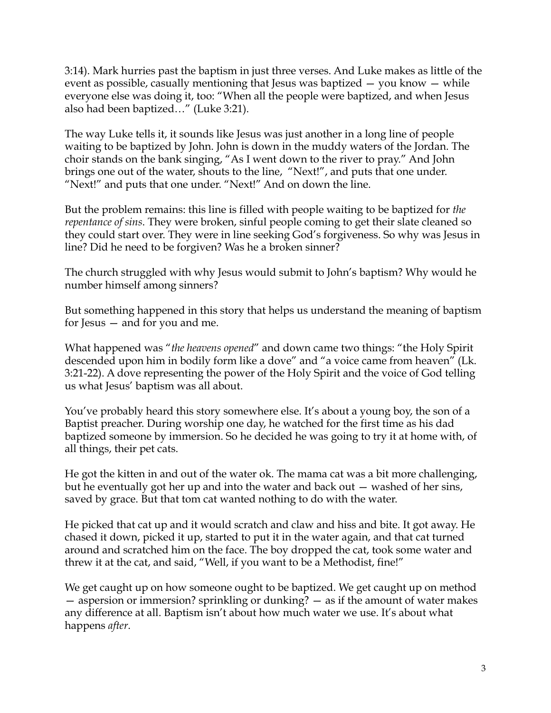3:14). Mark hurries past the baptism in just three verses. And Luke makes as little of the event as possible, casually mentioning that Jesus was baptized — you know — while everyone else was doing it, too: "When all the people were baptized, and when Jesus also had been baptized…" (Luke 3:21).

The way Luke tells it, it sounds like Jesus was just another in a long line of people waiting to be baptized by John. John is down in the muddy waters of the Jordan. The choir stands on the bank singing, "As I went down to the river to pray." And John brings one out of the water, shouts to the line, "Next!", and puts that one under. "Next!" and puts that one under. "Next!" And on down the line.

But the problem remains: this line is filled with people waiting to be baptized for *the repentance of sins*. They were broken, sinful people coming to get their slate cleaned so they could start over. They were in line seeking God's forgiveness. So why was Jesus in line? Did he need to be forgiven? Was he a broken sinner?

The church struggled with why Jesus would submit to John's baptism? Why would he number himself among sinners?

But something happened in this story that helps us understand the meaning of baptism for Jesus — and for you and me.

What happened was "*the heavens opened*" and down came two things: "the Holy Spirit descended upon him in bodily form like a dove" and "a voice came from heaven" (Lk. 3:21-22). A dove representing the power of the Holy Spirit and the voice of God telling us what Jesus' baptism was all about.

You've probably heard this story somewhere else. It's about a young boy, the son of a Baptist preacher. During worship one day, he watched for the first time as his dad baptized someone by immersion. So he decided he was going to try it at home with, of all things, their pet cats.

He got the kitten in and out of the water ok. The mama cat was a bit more challenging, but he eventually got her up and into the water and back out — washed of her sins, saved by grace. But that tom cat wanted nothing to do with the water.

He picked that cat up and it would scratch and claw and hiss and bite. It got away. He chased it down, picked it up, started to put it in the water again, and that cat turned around and scratched him on the face. The boy dropped the cat, took some water and threw it at the cat, and said, "Well, if you want to be a Methodist, fine!"

We get caught up on how someone ought to be baptized. We get caught up on method — aspersion or immersion? sprinkling or dunking? — as if the amount of water makes any difference at all. Baptism isn't about how much water we use. It's about what happens *after*.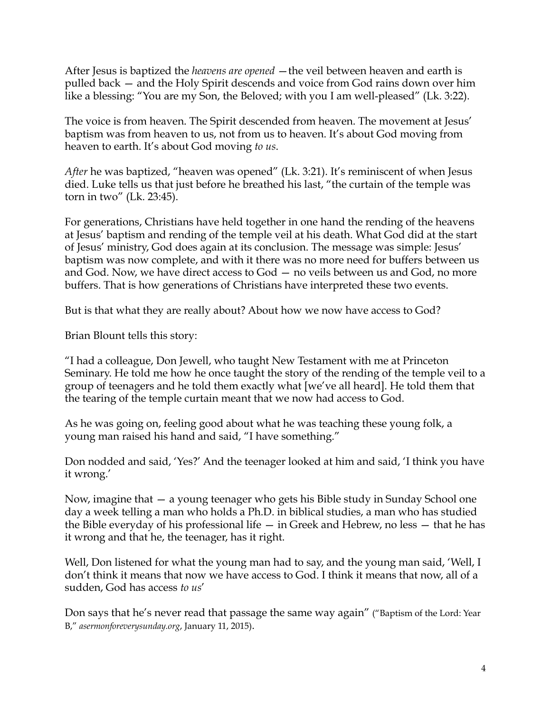After Jesus is baptized the *heavens are opened* —the veil between heaven and earth is pulled back — and the Holy Spirit descends and voice from God rains down over him like a blessing: "You are my Son, the Beloved; with you I am well-pleased" (Lk. 3:22).

The voice is from heaven. The Spirit descended from heaven. The movement at Jesus' baptism was from heaven to us, not from us to heaven. It's about God moving from heaven to earth. It's about God moving *to us*.

*After* he was baptized, "heaven was opened" (Lk. 3:21). It's reminiscent of when Jesus died. Luke tells us that just before he breathed his last, "the curtain of the temple was torn in two" (Lk. 23:45).

For generations, Christians have held together in one hand the rending of the heavens at Jesus' baptism and rending of the temple veil at his death. What God did at the start of Jesus' ministry, God does again at its conclusion. The message was simple: Jesus' baptism was now complete, and with it there was no more need for buffers between us and God. Now, we have direct access to God — no veils between us and God, no more buffers. That is how generations of Christians have interpreted these two events.

But is that what they are really about? About how we now have access to God?

Brian Blount tells this story:

"I had a colleague, Don Jewell, who taught New Testament with me at Princeton Seminary. He told me how he once taught the story of the rending of the temple veil to a group of teenagers and he told them exactly what [we've all heard]. He told them that the tearing of the temple curtain meant that we now had access to God.

As he was going on, feeling good about what he was teaching these young folk, a young man raised his hand and said, "I have something."

Don nodded and said, 'Yes?' And the teenager looked at him and said, 'I think you have it wrong.'

Now, imagine that — a young teenager who gets his Bible study in Sunday School one day a week telling a man who holds a Ph.D. in biblical studies, a man who has studied the Bible everyday of his professional life  $-$  in Greek and Hebrew, no less  $-$  that he has it wrong and that he, the teenager, has it right.

Well, Don listened for what the young man had to say, and the young man said, 'Well, I don't think it means that now we have access to God. I think it means that now, all of a sudden, God has access *to us*'

Don says that he's never read that passage the same way again" ("Baptism of the Lord: Year B," *asermonforeverysunday.org*, January 11, 2015).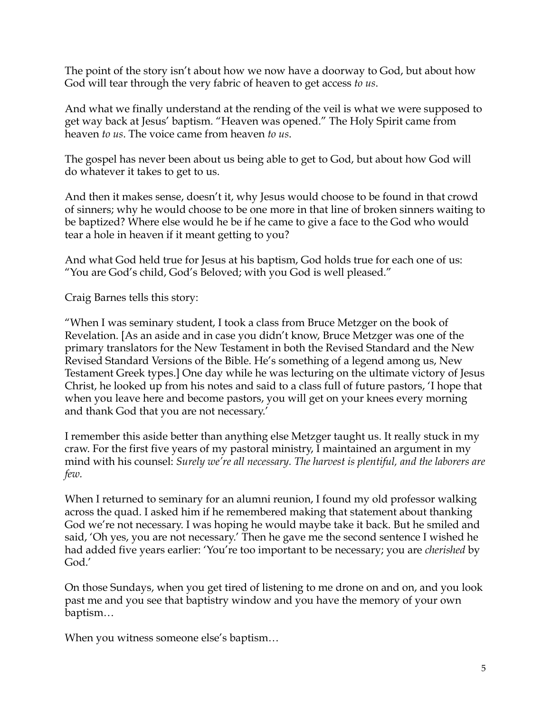The point of the story isn't about how we now have a doorway to God, but about how God will tear through the very fabric of heaven to get access *to us*.

And what we finally understand at the rending of the veil is what we were supposed to get way back at Jesus' baptism. "Heaven was opened." The Holy Spirit came from heaven *to us*. The voice came from heaven *to us*.

The gospel has never been about us being able to get to God, but about how God will do whatever it takes to get to us.

And then it makes sense, doesn't it, why Jesus would choose to be found in that crowd of sinners; why he would choose to be one more in that line of broken sinners waiting to be baptized? Where else would he be if he came to give a face to the God who would tear a hole in heaven if it meant getting to you?

And what God held true for Jesus at his baptism, God holds true for each one of us: "You are God's child, God's Beloved; with you God is well pleased."

Craig Barnes tells this story:

"When I was seminary student, I took a class from Bruce Metzger on the book of Revelation. [As an aside and in case you didn't know, Bruce Metzger was one of the primary translators for the New Testament in both the Revised Standard and the New Revised Standard Versions of the Bible. He's something of a legend among us, New Testament Greek types.] One day while he was lecturing on the ultimate victory of Jesus Christ, he looked up from his notes and said to a class full of future pastors, 'I hope that when you leave here and become pastors, you will get on your knees every morning and thank God that you are not necessary.'

I remember this aside better than anything else Metzger taught us. It really stuck in my craw. For the first five years of my pastoral ministry, I maintained an argument in my mind with his counsel: *Surely we're all necessary. The harvest is plentiful, and the laborers are few.*

When I returned to seminary for an alumni reunion, I found my old professor walking across the quad. I asked him if he remembered making that statement about thanking God we're not necessary. I was hoping he would maybe take it back. But he smiled and said, 'Oh yes, you are not necessary.' Then he gave me the second sentence I wished he had added five years earlier: 'You're too important to be necessary; you are *cherished* by God.'

On those Sundays, when you get tired of listening to me drone on and on, and you look past me and you see that baptistry window and you have the memory of your own baptism…

When you witness someone else's baptism…